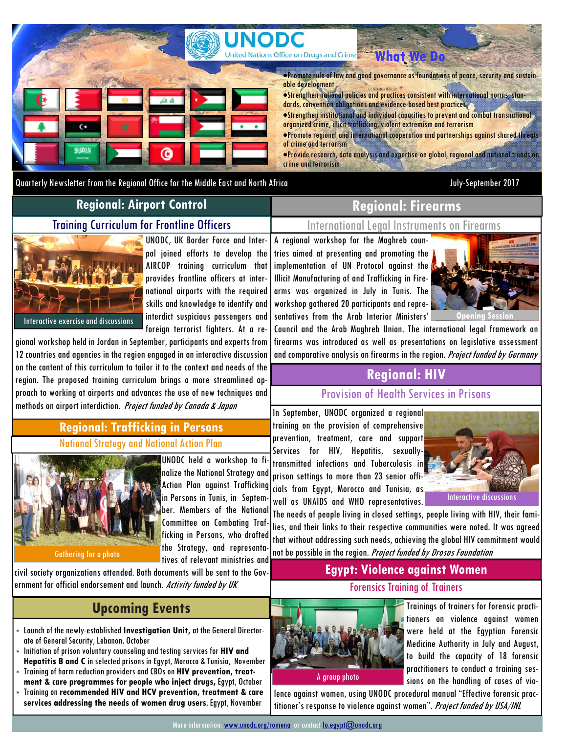

Quarterly Newsletter from the Regional Office for the Middle East and North Africa July-September 2017

## **Regional: Airport Control**

### Training Curriculum for Frontline Officers

# Interactive exercise and discussions

UNODC, UK Border Force and Interpol joined efforts to develop the AIRCOP training curriculum that provides frontline officers at international airports with the required skills and knowledge to identify and interdict suspicious passengers and foreign terrorist fighters. At a re-

gional workshop held in Jordan in September, participants and experts from 12 countries and agencies in the region engaged in an interactive discussion on the content of this curriculum to tailor it to the context and needs of the region. The proposed training curriculum brings a more streamlined approach to working at airports and advances the use of new techniques and methods on airport interdiction. Project funded by Canada & Japan

### National Strategy and National Action Plan **Regional: Trafficking in Persons**



UNODC held a workshop to finalize the National Strategy and Action Plan against Trafficking in Persons in Tunis, in September. Members of the National Committee on Combating Trafficking in Persons, who drafted

tives of relevant ministries and civil society organizations attended. Both documents will be sent to the Gov-

ernment for official endorsement and launch. *Activity funded by UK* 

# **Upcoming Events**

- Launch of the newly-established **Investigation Unit,** at the General Directorate of General Security, Lebanon, October
- Initiation of prison voluntary counseling and testing services for **HIV and Hepatitis B and C** in selected prisons in Egypt, Morocco & Tunisia, November
- Training of harm reduction providers and CBOs on **HIV prevention, treatment & care programmes for people who inject drugs,** Egypt, October
- Training on **recommended HIV and HCV prevention, treatment & care services addressing the needs of women drug users**, Egypt, November

# **Regional: Firearms Workshop in Tunisia and Tunisia**  $\mathbf{R}$

International Legal Instruments on Firearms

A regional workshop for the Maghreb countries aimed at presenting and promoting the implementation of UN Protocol against the Illicit Manufacturing of and Trafficking in Firearms was organized in July in Tunis. The workshop gathered 20 participants and representatives from the Arab Interior Ministers'



Council and the Arab Maghreb Union. The international legal framework on firearms was introduced as well as presentations on legislative assessment and comparative analysis on firearms in the region. Project funded by Germany

# **Regional: HIV**

Provision of Health Services in Prisons

In September, UNODC organized a regional training on the provision of comprehensive prevention, treatment, care and support Services for HIV, Hepatitis, sexuallytransmitted infections and Tuberculosis in prison settings to more than 23 senior officials from Egypt, Morocco and Tunisia, as well as UNAIDS and WHO representatives.



The needs of people living in closed settings, people living with HIV, their families, and their links to their respective communities were noted. It was agreed that without addressing such needs, achieving the global HIV commitment would not be possible in the region. Project funded by Drosos Foundation

### **Egypt: Violence against Women**

### Forensics Training of Trainers



Trainings of trainers for forensic practitioners on violence against women were held at the Egyptian Forensic Medicine Authority in July and August, to build the capacity of 18 forensic practitioners to conduct a training sessions on the handling of cases of vio-

lence against women, using UNODC procedural manual "Effective forensic practitioner's response to violence against women". Project funded by USA/INL